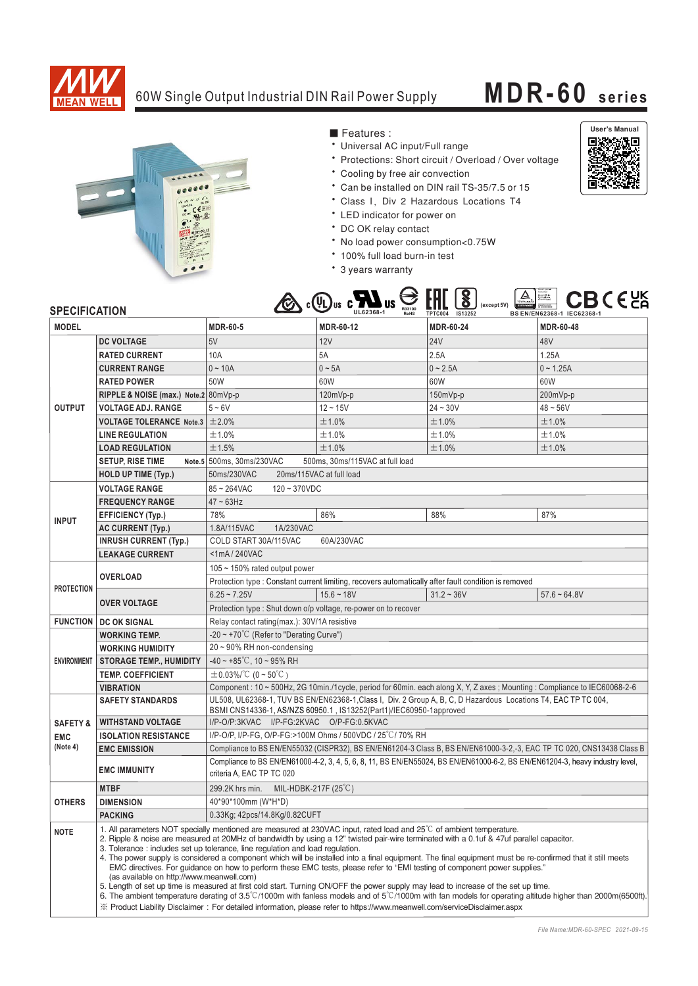

## 60W Single Output Industrial DIN Rail Power Supply **MDR-60 series**



■ Features :

- Universal AC input/Full range
- \* Protections: Short circuit / Overload / Over voltage
- \* Cooling by free air convection
- \* Can be installed on DIN rail TS-35/7.5 or 15
- Class I, Div 2 Hazardous Locations T4
- \* LED indicator for power on
- \* DC OK relay contact
- \* No load power consumption<0.75W
- \* 100% full load burn-in test
- \* 3 years warranty



## **SPECIFICATION**

| <b>SPECIFICATION</b> |                                                                                                                                                                                  | دعت                                                                                                                                                                                                                                                                                                                                                                                                                                                                                                                                                                                                                                                                                                                                                                                                                                                                                                                                                                                                                                                                                              | .<br>-<br>-<br>R33100<br>UL62368-1<br><b>RoHS</b>               | TPTC004 IS13252  | BS EN/EN62368-1 IEC62368-1 |
|----------------------|----------------------------------------------------------------------------------------------------------------------------------------------------------------------------------|--------------------------------------------------------------------------------------------------------------------------------------------------------------------------------------------------------------------------------------------------------------------------------------------------------------------------------------------------------------------------------------------------------------------------------------------------------------------------------------------------------------------------------------------------------------------------------------------------------------------------------------------------------------------------------------------------------------------------------------------------------------------------------------------------------------------------------------------------------------------------------------------------------------------------------------------------------------------------------------------------------------------------------------------------------------------------------------------------|-----------------------------------------------------------------|------------------|----------------------------|
| <b>MODEL</b>         |                                                                                                                                                                                  | <b>MDR-60-5</b>                                                                                                                                                                                                                                                                                                                                                                                                                                                                                                                                                                                                                                                                                                                                                                                                                                                                                                                                                                                                                                                                                  | MDR-60-12                                                       | <b>MDR-60-24</b> | MDR-60-48                  |
| <b>OUTPUT</b>        | <b>DC VOLTAGE</b>                                                                                                                                                                | 5V                                                                                                                                                                                                                                                                                                                                                                                                                                                                                                                                                                                                                                                                                                                                                                                                                                                                                                                                                                                                                                                                                               | 12V                                                             | <b>24V</b>       | 48V                        |
|                      | <b>RATED CURRENT</b>                                                                                                                                                             | 10A                                                                                                                                                                                                                                                                                                                                                                                                                                                                                                                                                                                                                                                                                                                                                                                                                                                                                                                                                                                                                                                                                              | 5A                                                              | 2.5A             | 1.25A                      |
|                      | <b>CURRENT RANGE</b>                                                                                                                                                             | $0 - 10A$                                                                                                                                                                                                                                                                                                                                                                                                                                                                                                                                                                                                                                                                                                                                                                                                                                                                                                                                                                                                                                                                                        | $0 \sim 5A$                                                     | $0 - 2.5A$       | $0 - 1.25A$                |
|                      | <b>RATED POWER</b>                                                                                                                                                               | 50W                                                                                                                                                                                                                                                                                                                                                                                                                                                                                                                                                                                                                                                                                                                                                                                                                                                                                                                                                                                                                                                                                              | 60W                                                             | 60W              | 60W                        |
|                      | RIPPLE & NOISE (max.) Note.2 80mVp-p                                                                                                                                             |                                                                                                                                                                                                                                                                                                                                                                                                                                                                                                                                                                                                                                                                                                                                                                                                                                                                                                                                                                                                                                                                                                  | 120mVp-p                                                        | 150mVp-p         | 200mVp-p                   |
|                      | <b>VOLTAGE ADJ. RANGE</b>                                                                                                                                                        | $5 - 6V$                                                                                                                                                                                                                                                                                                                                                                                                                                                                                                                                                                                                                                                                                                                                                                                                                                                                                                                                                                                                                                                                                         | $12 - 15V$                                                      | $24 - 30V$       | $48 - 56V$                 |
|                      | <b>VOLTAGE TOLERANCE Note.3</b> $\pm 2.0\%$                                                                                                                                      |                                                                                                                                                                                                                                                                                                                                                                                                                                                                                                                                                                                                                                                                                                                                                                                                                                                                                                                                                                                                                                                                                                  | ±1.0%                                                           | ±1.0%            | ±1.0%                      |
|                      | <b>LINE REGULATION</b>                                                                                                                                                           | ±1.0%                                                                                                                                                                                                                                                                                                                                                                                                                                                                                                                                                                                                                                                                                                                                                                                                                                                                                                                                                                                                                                                                                            | ±1.0%                                                           | ±1.0%            | ±1.0%                      |
|                      | <b>LOAD REGULATION</b>                                                                                                                                                           | ±1.5%                                                                                                                                                                                                                                                                                                                                                                                                                                                                                                                                                                                                                                                                                                                                                                                                                                                                                                                                                                                                                                                                                            | ±1.0%                                                           | ±1.0%            | ±1.0%                      |
|                      | <b>SETUP, RISE TIME</b>                                                                                                                                                          | Note.5 500ms, 30ms/230VAC                                                                                                                                                                                                                                                                                                                                                                                                                                                                                                                                                                                                                                                                                                                                                                                                                                                                                                                                                                                                                                                                        | 500ms. 30ms/115VAC at full load                                 |                  |                            |
|                      | HOLD UP TIME (Typ.)                                                                                                                                                              | 50ms/230VAC<br>20ms/115VAC at full load                                                                                                                                                                                                                                                                                                                                                                                                                                                                                                                                                                                                                                                                                                                                                                                                                                                                                                                                                                                                                                                          |                                                                 |                  |                            |
|                      | <b>VOLTAGE RANGE</b>                                                                                                                                                             | $85 - 264$ VAC<br>$120 - 370VDC$                                                                                                                                                                                                                                                                                                                                                                                                                                                                                                                                                                                                                                                                                                                                                                                                                                                                                                                                                                                                                                                                 |                                                                 |                  |                            |
|                      | <b>FREQUENCY RANGE</b>                                                                                                                                                           | $47 \sim 63$ Hz                                                                                                                                                                                                                                                                                                                                                                                                                                                                                                                                                                                                                                                                                                                                                                                                                                                                                                                                                                                                                                                                                  |                                                                 |                  |                            |
|                      | <b>EFFICIENCY (Typ.)</b>                                                                                                                                                         | 78%                                                                                                                                                                                                                                                                                                                                                                                                                                                                                                                                                                                                                                                                                                                                                                                                                                                                                                                                                                                                                                                                                              | 86%                                                             | 88%              | 87%                        |
| <b>INPUT</b>         | AC CURRENT (Typ.)                                                                                                                                                                | 1A/230VAC<br>1.8A/115VAC                                                                                                                                                                                                                                                                                                                                                                                                                                                                                                                                                                                                                                                                                                                                                                                                                                                                                                                                                                                                                                                                         |                                                                 |                  |                            |
|                      | <b>INRUSH CURRENT (Typ.)</b>                                                                                                                                                     | COLD START 30A/115VAC<br>60A/230VAC                                                                                                                                                                                                                                                                                                                                                                                                                                                                                                                                                                                                                                                                                                                                                                                                                                                                                                                                                                                                                                                              |                                                                 |                  |                            |
|                      | <b>LEAKAGE CURRENT</b>                                                                                                                                                           | <1mA/240VAC                                                                                                                                                                                                                                                                                                                                                                                                                                                                                                                                                                                                                                                                                                                                                                                                                                                                                                                                                                                                                                                                                      |                                                                 |                  |                            |
| <b>PROTECTION</b>    | <b>OVERLOAD</b>                                                                                                                                                                  | 105 ~ 150% rated output power                                                                                                                                                                                                                                                                                                                                                                                                                                                                                                                                                                                                                                                                                                                                                                                                                                                                                                                                                                                                                                                                    |                                                                 |                  |                            |
|                      |                                                                                                                                                                                  | Protection type : Constant current limiting, recovers automatically after fault condition is removed                                                                                                                                                                                                                                                                                                                                                                                                                                                                                                                                                                                                                                                                                                                                                                                                                                                                                                                                                                                             |                                                                 |                  |                            |
|                      | <b>OVER VOLTAGE</b>                                                                                                                                                              | $6.25 - 7.25V$                                                                                                                                                                                                                                                                                                                                                                                                                                                                                                                                                                                                                                                                                                                                                                                                                                                                                                                                                                                                                                                                                   | $15.6 - 18V$                                                    | $31.2 - 36V$     | $57.6 - 64.8V$             |
|                      |                                                                                                                                                                                  |                                                                                                                                                                                                                                                                                                                                                                                                                                                                                                                                                                                                                                                                                                                                                                                                                                                                                                                                                                                                                                                                                                  | Protection type : Shut down o/p voltage, re-power on to recover |                  |                            |
|                      | <b>FUNCTION   DC OK SIGNAL</b>                                                                                                                                                   | Relay contact rating(max.): 30V/1A resistive                                                                                                                                                                                                                                                                                                                                                                                                                                                                                                                                                                                                                                                                                                                                                                                                                                                                                                                                                                                                                                                     |                                                                 |                  |                            |
| <b>ENVIRONMENT</b>   | <b>WORKING TEMP.</b>                                                                                                                                                             | $-20 \sim +70^{\circ}$ (Refer to "Derating Curve")                                                                                                                                                                                                                                                                                                                                                                                                                                                                                                                                                                                                                                                                                                                                                                                                                                                                                                                                                                                                                                               |                                                                 |                  |                            |
|                      | <b>WORKING HUMIDITY</b>                                                                                                                                                          | 20~90% RH non-condensing                                                                                                                                                                                                                                                                                                                                                                                                                                                                                                                                                                                                                                                                                                                                                                                                                                                                                                                                                                                                                                                                         |                                                                 |                  |                            |
|                      | <b>STORAGE TEMP., HUMIDITY</b>                                                                                                                                                   | $-40 \sim +85^{\circ}$ C, 10 ~ 95% RH                                                                                                                                                                                                                                                                                                                                                                                                                                                                                                                                                                                                                                                                                                                                                                                                                                                                                                                                                                                                                                                            |                                                                 |                  |                            |
|                      | <b>TEMP, COEFFICIENT</b>                                                                                                                                                         | $\pm$ 0.03%/°C (0 ~ 50°C)                                                                                                                                                                                                                                                                                                                                                                                                                                                                                                                                                                                                                                                                                                                                                                                                                                                                                                                                                                                                                                                                        |                                                                 |                  |                            |
|                      | <b>VIBRATION</b>                                                                                                                                                                 | Component: 10 ~ 500Hz, 2G 10min./1cycle, period for 60min. each along X, Y, Z axes; Mounting: Compliance to IEC60068-2-6                                                                                                                                                                                                                                                                                                                                                                                                                                                                                                                                                                                                                                                                                                                                                                                                                                                                                                                                                                         |                                                                 |                  |                            |
|                      | <b>SAFETY STANDARDS</b>                                                                                                                                                          | UL508, UL62368-1, TUV BS EN/EN62368-1, Class I, Div. 2 Group A, B, C, D Hazardous Locations T4, EAC TP TC 004,<br>BSMI CNS14336-1, AS/NZS 60950.1, IS13252(Part1)/IEC60950-1approved                                                                                                                                                                                                                                                                                                                                                                                                                                                                                                                                                                                                                                                                                                                                                                                                                                                                                                             |                                                                 |                  |                            |
| <b>SAFETY &amp;</b>  | <b>WITHSTAND VOLTAGE</b>                                                                                                                                                         | I/P-O/P:3KVAC I/P-FG:2KVAC O/P-FG:0.5KVAC                                                                                                                                                                                                                                                                                                                                                                                                                                                                                                                                                                                                                                                                                                                                                                                                                                                                                                                                                                                                                                                        |                                                                 |                  |                            |
| <b>EMC</b>           | <b>ISOLATION RESISTANCE</b>                                                                                                                                                      | I/P-O/P, I/P-FG, O/P-FG:>100M Ohms / 500VDC / 25°C/70% RH                                                                                                                                                                                                                                                                                                                                                                                                                                                                                                                                                                                                                                                                                                                                                                                                                                                                                                                                                                                                                                        |                                                                 |                  |                            |
| (Note 4)             | <b>EMC EMISSION</b>                                                                                                                                                              | Compliance to BS EN/EN55032 (CISPR32), BS EN/EN61204-3 Class B, BS EN/EN61000-3-2,-3, EAC TP TC 020, CNS13438 Class B                                                                                                                                                                                                                                                                                                                                                                                                                                                                                                                                                                                                                                                                                                                                                                                                                                                                                                                                                                            |                                                                 |                  |                            |
|                      | Compliance to BS EN/EN61000-4-2, 3, 4, 5, 6, 8, 11, BS EN/EN55024, BS EN/EN61000-6-2, BS EN/EN61204-3, heavy industry level,<br><b>EMC IMMUNITY</b><br>criteria A, EAC TP TC 020 |                                                                                                                                                                                                                                                                                                                                                                                                                                                                                                                                                                                                                                                                                                                                                                                                                                                                                                                                                                                                                                                                                                  |                                                                 |                  |                            |
|                      | <b>MTBF</b>                                                                                                                                                                      | MIL-HDBK-217F (25 $\degree$ C)<br>299.2K hrs min.                                                                                                                                                                                                                                                                                                                                                                                                                                                                                                                                                                                                                                                                                                                                                                                                                                                                                                                                                                                                                                                |                                                                 |                  |                            |
| <b>OTHERS</b>        | <b>DIMENSION</b>                                                                                                                                                                 | 40*90*100mm (W*H*D)                                                                                                                                                                                                                                                                                                                                                                                                                                                                                                                                                                                                                                                                                                                                                                                                                                                                                                                                                                                                                                                                              |                                                                 |                  |                            |
|                      | <b>PACKING</b>                                                                                                                                                                   | 0.33Kg; 42pcs/14.8Kg/0.82CUFT                                                                                                                                                                                                                                                                                                                                                                                                                                                                                                                                                                                                                                                                                                                                                                                                                                                                                                                                                                                                                                                                    |                                                                 |                  |                            |
| <b>NOTE</b>          | (as available on http://www.meanwell.com)                                                                                                                                        | 1. All parameters NOT specially mentioned are measured at 230VAC input, rated load and 25°C of ambient temperature.<br>2. Ripple & noise are measured at 20MHz of bandwidth by using a 12" twisted pair-wire terminated with a 0.1uf & 47uf parallel capacitor.<br>3. Tolerance: includes set up tolerance, line regulation and load regulation.<br>4. The power supply is considered a component which will be installed into a final equipment. The final equipment must be re-confirmed that it still meets<br>EMC directives. For quidance on how to perform these EMC tests, please refer to "EMI testing of component power supplies."<br>5. Length of set up time is measured at first cold start. Turning ON/OFF the power supply may lead to increase of the set up time.<br>6. The ambient temperature derating of $3.5^{\circ}$ C/1000m with fanless models and of $5^{\circ}$ C/1000m with fan models for operating altitude higher than 2000m(6500ft).<br>X Product Liability Disclaimer: For detailed information, please refer to https://www.meanwell.com/serviceDisclaimer.aspx |                                                                 |                  |                            |